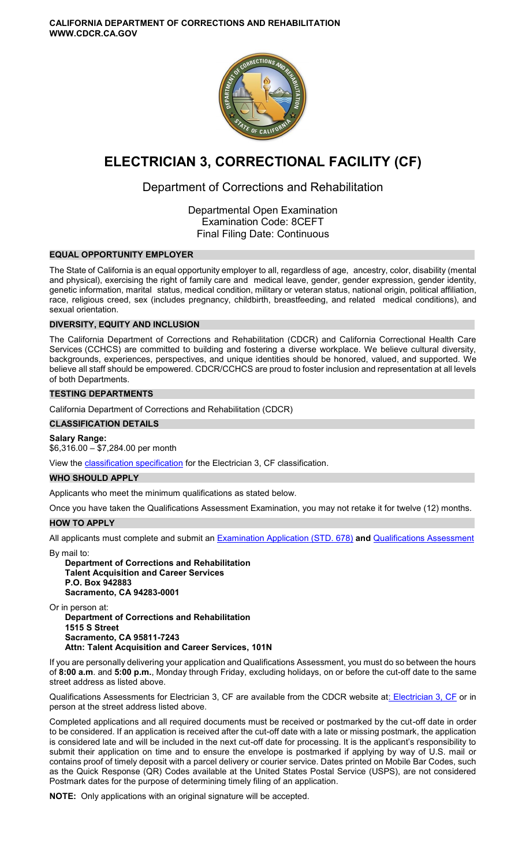

# **ELECTRICIAN 3, CORRECTIONAL FACILITY (CF)**

# Department of Corrections and Rehabilitation

Departmental Open Examination Examination Code: 8CEFT Final Filing Date: Continuous

# **EQUAL OPPORTUNITY EMPLOYER**

The State of California is an equal opportunity employer to all, regardless of age, ancestry, color, disability (mental and physical), exercising the right of family care and medical leave, gender, gender expression, gender identity, genetic information, marital status, medical condition, military or veteran status, national origin, political affiliation, race, religious creed, sex (includes pregnancy, childbirth, breastfeeding, and related medical conditions), and sexual orientation.

# **DIVERSITY, EQUITY AND INCLUSION**

The California Department of Corrections and Rehabilitation (CDCR) and California Correctional Health Care Services (CCHCS) are committed to building and fostering a diverse workplace. We believe cultural diversity, backgrounds, experiences, perspectives, and unique identities should be honored, valued, and supported. We believe all staff should be empowered. CDCR/CCHCS are proud to foster inclusion and representation at all levels of both Departments.

# **TESTING DEPARTMENTS**

California Department of Corrections and Rehabilitation (CDCR)

# **CLASSIFICATION DETAILS**

**Salary Range:**  \$6,316.00 – \$7,284.00 per month

View the [classification specification](http://www.calhr.ca.gov/state-hr-professionals/Pages/6534.aspx) for the Electrician 3, CF classification.

# **WHO SHOULD APPLY**

Applicants who meet the minimum qualifications as stated below.

Once you have taken the Qualifications Assessment Examination, you may not retake it for twelve (12) months.

# **HOW TO APPLY**

All applicants must complete and submit an [Examination Application \(STD. 678\)](https://jobs.ca.gov/pdf/STD678.pdf) **and** [Qualifications Assessment](https://www.cdcr.ca.gov/careers/wp-content/uploads/sites/164/2021/04/Electrician3CFQA-O-C.pdf) 

By mail to:

**Department of Corrections and Rehabilitation Talent Acquisition and Career Services P.O. Box 942883 Sacramento, CA 94283-0001** 

Or in person at: **Department of Corrections and Rehabilitation 1515 S Street Sacramento, CA 95811-7243** 

**Attn: Talent Acquisition and Career Services, 101N** 

If you are personally delivering your application and Qualifications Assessment, you must do so between the hours of **8:00 a.m**. and **5:00 p.m.**, Monday through Friday, excluding holidays, on or before the cut-off date to the same street address as listed above.

Qualifications Assessments for Electrician 3, CF are available from the CDCR website a[t: Electrician 3, CF](https://www.cdcr.ca.gov/careers/wp-content/uploads/sites/164/2021/04/Electrician3CFQA-O-C.pdf) or in person at the street address listed above.

Completed applications and all required documents must be received or postmarked by the cut-off date in order to be considered. If an application is received after the cut-off date with a late or missing postmark, the application is considered late and will be included in the next cut-off date for processing. It is the applicant's responsibility to submit their application on time and to ensure the envelope is postmarked if applying by way of U.S. mail or contains proof of timely deposit with a parcel delivery or courier service. Dates printed on Mobile Bar Codes, such as the Quick Response (QR) Codes available at the United States Postal Service (USPS), are not considered Postmark dates for the purpose of determining timely filing of an application.

**NOTE:** Only applications with an original signature will be accepted.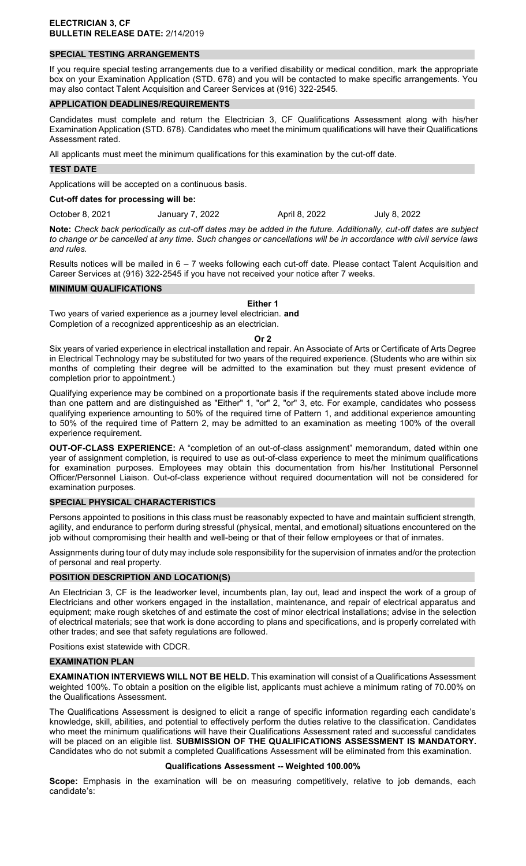# **SPECIAL TESTING ARRANGEMENTS**

If you require special testing arrangements due to a verified disability or medical condition, mark the appropriate box on your Examination Application (STD. 678) and you will be contacted to make specific arrangements. You may also contact Talent Acquisition and Career Services at (916) 322-2545.

#### **APPLICATION DEADLINES/REQUIREMENTS**

Candidates must complete and return the Electrician 3, CF Qualifications Assessment along with his/her Examination Application (STD. 678). Candidates who meet the minimum qualifications will have their Qualifications Assessment rated.

All applicants must meet the minimum qualifications for this examination by the cut-off date.

#### **TEST DATE**

Applications will be accepted on a continuous basis.

#### **Cut-off dates for processing will be:**

October 8, 2021 January 7, 2022 April 8, 2022 July 8, 2022

**Note:** *Check back periodically as cut-off dates may be added in the future. Additionally, cut-off dates are subject to change or be cancelled at any time. Such changes or cancellations will be in accordance with civil service laws and rules.* 

Results notices will be mailed in 6 – 7 weeks following each cut-off date. Please contact Talent Acquisition and Career Services at (916) 322-2545 if you have not received your notice after 7 weeks.

#### **MINIMUM QUALIFICATIONS**

#### **Either 1**

Two years of varied experience as a journey level electrician. **and**  Completion of a recognized apprenticeship as an electrician.

#### **Or 2**

Six years of varied experience in electrical installation and repair. An Associate of Arts or Certificate of Arts Degree in Electrical Technology may be substituted for two years of the required experience. (Students who are within six months of completing their degree will be admitted to the examination but they must present evidence of completion prior to appointment.)

Qualifying experience may be combined on a proportionate basis if the requirements stated above include more than one pattern and are distinguished as "Either" 1, "or" 2, "or" 3, etc. For example, candidates who possess qualifying experience amounting to 50% of the required time of Pattern 1, and additional experience amounting to 50% of the required time of Pattern 2, may be admitted to an examination as meeting 100% of the overall experience requirement.

**OUT-OF-CLASS EXPERIENCE:** A "completion of an out-of-class assignment" memorandum, dated within one year of assignment completion, is required to use as out-of-class experience to meet the minimum qualifications for examination purposes. Employees may obtain this documentation from his/her Institutional Personnel Officer/Personnel Liaison. Out-of-class experience without required documentation will not be considered for examination purposes.

#### **SPECIAL PHYSICAL CHARACTERISTICS**

Persons appointed to positions in this class must be reasonably expected to have and maintain sufficient strength, agility, and endurance to perform during stressful (physical, mental, and emotional) situations encountered on the job without compromising their health and well-being or that of their fellow employees or that of inmates.

Assignments during tour of duty may include sole responsibility for the supervision of inmates and/or the protection of personal and real property.

#### **POSITION DESCRIPTION AND LOCATION(S)**

An Electrician 3, CF is the leadworker level, incumbents plan, lay out, lead and inspect the work of a group of Electricians and other workers engaged in the installation, maintenance, and repair of electrical apparatus and equipment; make rough sketches of and estimate the cost of minor electrical installations; advise in the selection of electrical materials; see that work is done according to plans and specifications, and is properly correlated with other trades; and see that safety regulations are followed.

Positions exist statewide with CDCR.

# **EXAMINATION PLAN**

**EXAMINATION INTERVIEWS WILL NOT BE HELD.** This examination will consist of a Qualifications Assessment weighted 100%. To obtain a position on the eligible list, applicants must achieve a minimum rating of 70.00% on the Qualifications Assessment.

The Qualifications Assessment is designed to elicit a range of specific information regarding each candidate's knowledge, skill, abilities, and potential to effectively perform the duties relative to the classification. Candidates who meet the minimum qualifications will have their Qualifications Assessment rated and successful candidates will be placed on an eligible list. **SUBMISSION OF THE QUALIFICATIONS ASSESSMENT IS MANDATORY.**  Candidates who do not submit a completed Qualifications Assessment will be eliminated from this examination.

#### **Qualifications Assessment -- Weighted 100.00%**

**Scope:** Emphasis in the examination will be on measuring competitively, relative to job demands, each candidate's: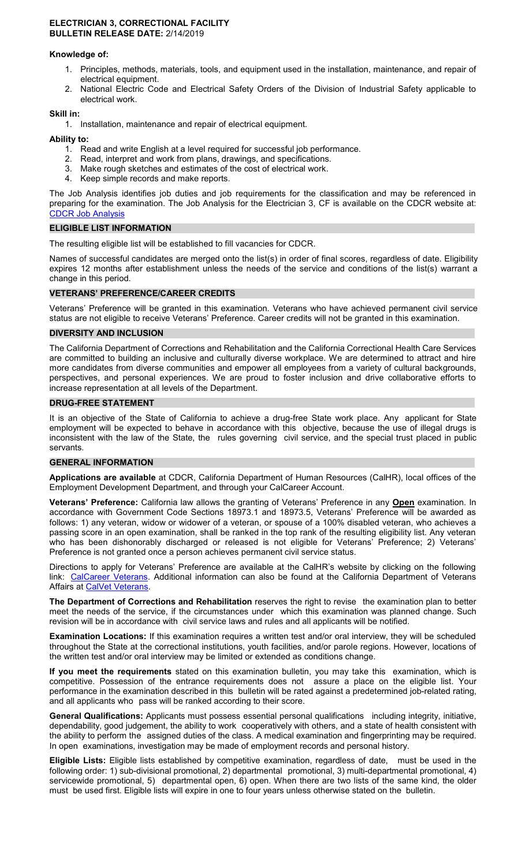#### **ELECTRICIAN 3, CORRECTIONAL FACILITY BULLETIN RELEASE DATE:** 2/14/2019

# **Knowledge of:**

- 1. Principles, methods, materials, tools, and equipment used in the installation, maintenance, and repair of electrical equipment.
- 2. National Electric Code and Electrical Safety Orders of the Division of Industrial Safety applicable to electrical work.

# **Skill in:**

1. Installation, maintenance and repair of electrical equipment.

# **Ability to:**

- 1. Read and write English at a level required for successful job performance.
- 2. Read, interpret and work from plans, drawings, and specifications.
- 3. Make rough sketches and estimates of the cost of electrical work.
- 4. Keep simple records and make reports.

The Job Analysis identifies job duties and job requirements for the classification and may be referenced in preparing for the examination. The Job Analysis for the Electrician 3, CF is available on the CDCR website at: [CDCR Job Analysis](https://www.cdcr.ca.gov/Career_Opportunities/HR/OPS/Exams/Analysis/index.html) 

# **ELIGIBLE LIST INFORMATION**

The resulting eligible list will be established to fill vacancies for CDCR.

Names of successful candidates are merged onto the list(s) in order of final scores, regardless of date. Eligibility expires 12 months after establishment unless the needs of the service and conditions of the list(s) warrant a change in this period.

# **VETERANS' PREFERENCE/CAREER CREDITS**

Veterans' Preference will be granted in this examination. Veterans who have achieved permanent civil service status are not eligible to receive Veterans' Preference. Career credits will not be granted in this examination.

# **DIVERSITY AND INCLUSION**

The California Department of Corrections and Rehabilitation and the California Correctional Health Care Services are committed to building an inclusive and culturally diverse workplace. We are determined to attract and hire more candidates from diverse communities and empower all employees from a variety of cultural backgrounds, perspectives, and personal experiences. We are proud to foster inclusion and drive collaborative efforts to increase representation at all levels of the Department.

# **DRUG-FREE STATEMENT**

It is an objective of the State of California to achieve a drug-free State work place. Any applicant for State employment will be expected to behave in accordance with this objective, because the use of illegal drugs is inconsistent with the law of the State, the rules governing civil service, and the special trust placed in public servants.

#### **GENERAL INFORMATION**

**Applications are available** at CDCR, California Department of Human Resources (CalHR), local offices of the Employment Development Department, and through your CalCareer Account.

**Veterans' Preference:** California law allows the granting of Veterans' Preference in any **Open** examination. In accordance with Government Code Sections 18973.1 and 18973.5, Veterans' Preference will be awarded as follows: 1) any veteran, widow or widower of a veteran, or spouse of a 100% disabled veteran, who achieves a passing score in an open examination, shall be ranked in the top rank of the resulting eligibility list. Any veteran who has been dishonorably discharged or released is not eligible for Veterans' Preference; 2) Veterans' Preference is not granted once a person achieves permanent civil service status.

Directions to apply for Veterans' Preference are available at the CalHR's website by clicking on the following link: [CalCareer Veterans.](https://jobs.ca.gov/CalHRPublic/Landing/Veterans.aspx) Additional information can also be found at the California Department of Veterans Affairs at [CalVet Veterans.](http://www.calvet.ca.gov/veteran-services-benefits/employment)

**The Department of Corrections and Rehabilitation** reserves the right to revise the examination plan to better meet the needs of the service, if the circumstances under which this examination was planned change. Such revision will be in accordance with civil service laws and rules and all applicants will be notified.

**Examination Locations:** If this examination requires a written test and/or oral interview, they will be scheduled throughout the State at the correctional institutions, youth facilities, and/or parole regions. However, locations of the written test and/or oral interview may be limited or extended as conditions change.

**If you meet the requirements** stated on this examination bulletin, you may take this examination, which is competitive. Possession of the entrance requirements does not assure a place on the eligible list. Your performance in the examination described in this bulletin will be rated against a predetermined job-related rating, and all applicants who pass will be ranked according to their score.

**General Qualifications:** Applicants must possess essential personal qualifications including integrity, initiative, dependability, good judgement, the ability to work cooperatively with others, and a state of health consistent with the ability to perform the assigned duties of the class. A medical examination and fingerprinting may be required. In open examinations, investigation may be made of employment records and personal history.

**Eligible Lists:** Eligible lists established by competitive examination, regardless of date, must be used in the following order: 1) sub-divisional promotional, 2) departmental promotional, 3) multi-departmental promotional, 4) servicewide promotional, 5) departmental open, 6) open. When there are two lists of the same kind, the older must be used first. Eligible lists will expire in one to four years unless otherwise stated on the bulletin.